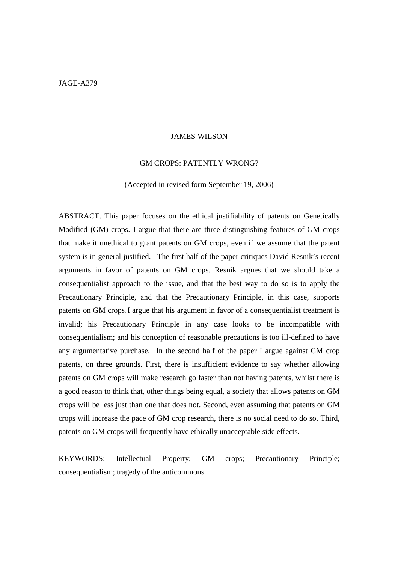### JAGE-A379

# JAMES WILSON

#### GM CROPS: PATENTLY WRONG?

### (Accepted in revised form September 19, 2006)

ABSTRACT. This paper focuses on the ethical justifiability of patents on Genetically Modified (GM) crops. I argue that there are three distinguishing features of GM crops that make it unethical to grant patents on GM crops, even if we assume that the patent system is in general justified. The first half of the paper critiques David Resnik's recent arguments in favor of patents on GM crops. Resnik argues that we should take a consequentialist approach to the issue, and that the best way to do so is to apply the Precautionary Principle, and that the Precautionary Principle, in this case, supports patents on GM crops. I argue that his argument in favor of a consequentialist treatment is invalid; his Precautionary Principle in any case looks to be incompatible with consequentialism; and his conception of reasonable precautions is too ill-defined to have any argumentative purchase. In the second half of the paper I argue against GM crop patents, on three grounds. First, there is insufficient evidence to say whether allowing patents on GM crops will make research go faster than not having patents, whilst there is a good reason to think that, other things being equal, a society that allows patents on GM crops will be less just than one that does not. Second, even assuming that patents on GM crops will increase the pace of GM crop research, there is no social need to do so. Third, patents on GM crops will frequently have ethically unacceptable side effects.

KEYWORDS: Intellectual Property; GM crops; Precautionary Principle; consequentialism; tragedy of the anticommons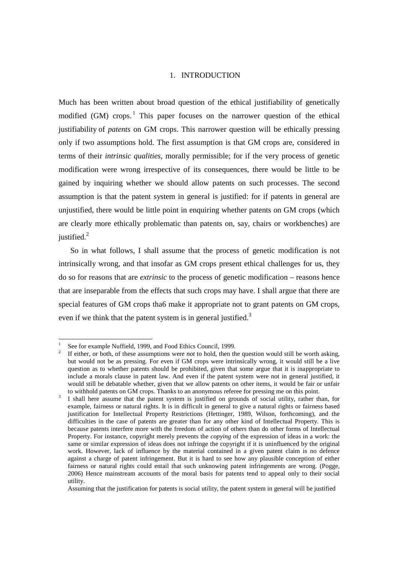#### 1. INTRODUCTION

Much has been written about broad question of the ethical justifiability of genetically modified (GM) crops.<sup>1</sup> This paper focuses on the narrower question of the ethical justifiability of *patents* on GM crops. This narrower question will be ethically pressing only if two assumptions hold. The first assumption is that GM crops are, considered in terms of their *intrinsic qualities*, morally permissible; for if the very process of genetic modification were wrong irrespective of its consequences, there would be little to be gained by inquiring whether we should allow patents on such processes. The second assumption is that the patent system in general is justified: for if patents in general are unjustified, there would be little point in enquiring whether patents on GM crops (which are clearly more ethically problematic than patents on, say, chairs or workbenches) are justified.<sup>2</sup>

So in what follows, I shall assume that the process of genetic modification is not intrinsically wrong, and that insofar as GM crops present ethical challenges for us, they do so for reasons that are *extrinsic* to the process of genetic modification – reasons hence that are inseparable from the effects that such crops may have. I shall argue that there are special features of GM crops tha6 make it appropriate not to grant patents on GM crops, even if we think that the patent system is in general justified.<sup>3</sup>

<sup>1</sup> See for example Nuffield, 1999, and Food Ethics Council, 1999.

<sup>2</sup> If either, or both, of these assumptions were *not* to hold, then the question would still be worth asking, but would not be as pressing. For even if GM crops were intrinsically wrong, it would still be a live question as to whether patents should be prohibited, given that some argue that it is inappropriate to include a morals clause in patent law. And even if the patent system were not in general justified, it would still be debatable whether, given that we allow patents on other items, it would be fair or unfair to withhold patents on GM crops. Thanks to an anonymous referee for pressing me on this point.

<sup>3</sup> I shall here assume that the patent system is justified on grounds of social utility, rather than, for example, fairness or natural rights. It is in difficult in general to give a natural rights or fairness based justification for Intellectual Property Restrictions (Hettinger, 1989, Wilson, forthcoming), and the difficulties in the case of patents are greater than for any other kind of Intellectual Property. This is because patents interfere more with the freedom of action of others than do other forms of Intellectual Property. For instance, copyright merely prevents the *copying* of the expression of ideas in a work: the same or similar expression of ideas does not infringe the copyright if it is uninfluenced by the original work. However, lack of influence by the material contained in a given patent claim is no defence against a charge of patent infringement. But it is hard to see how any plausible conception of either fairness or natural rights could entail that such unknowing patent infringements are wrong. (Pogge, 2006) Hence mainstream accounts of the moral basis for patents tend to appeal only to their social utility.

Assuming that the justification for patents is social utility, the patent system in general will be justified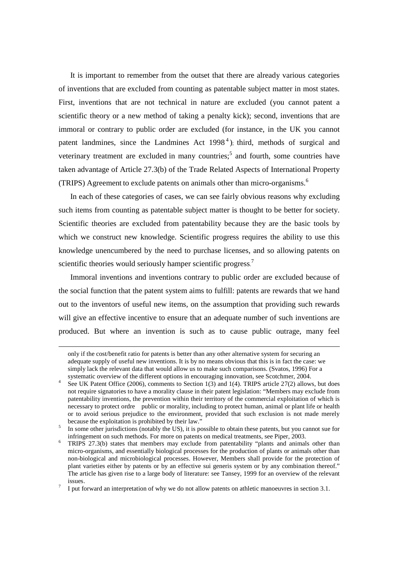It is important to remember from the outset that there are already various categories of inventions that are excluded from counting as patentable subject matter in most states. First, inventions that are not technical in nature are excluded (you cannot patent a scientific theory or a new method of taking a penalty kick); second, inventions that are immoral or contrary to public order are excluded (for instance, in the UK you cannot patent landmines, since the Landmines Act 1998<sup>4</sup>); third, methods of surgical and veterinary treatment are excluded in many countries;<sup>5</sup> and fourth, some countries have taken advantage of Article 27.3(b) of the Trade Related Aspects of International Property (TRIPS) Agreement to exclude patents on animals other than micro-organisms.<sup>6</sup>

In each of these categories of cases, we can see fairly obvious reasons why excluding such items from counting as patentable subject matter is thought to be better for society. Scientific theories are excluded from patentability because they are the basic tools by which we construct new knowledge. Scientific progress requires the ability to use this knowledge unencumbered by the need to purchase licenses, and so allowing patents on scientific theories would seriously hamper scientific progress.<sup>7</sup>

Immoral inventions and inventions contrary to public order are excluded because of the social function that the patent system aims to fulfill: patents are rewards that we hand out to the inventors of useful new items, on the assumption that providing such rewards will give an effective incentive to ensure that an adequate number of such inventions are produced. But where an invention is such as to cause public outrage, many feel

only if the cost/benefit ratio for patents is better than any other alternative system for securing an adequate supply of useful new inventions. It is by no means obvious that this is in fact the case: we simply lack the relevant data that would allow us to make such comparisons. (Svatos, 1996) For a systematic overview of the different options in encouraging innovation, see Scotchmer, 2004.

<sup>4</sup> See UK Patent Office (2006), comments to Section 1(3) and 1(4). TRIPS article 27(2) allows, but does not require signatories to have a morality clause in their patent legislation: "Members may exclude from patentability inventions, the prevention within their territory of the commercial exploitation of which is necessary to protect ordre public or morality, including to protect human, animal or plant life or health or to avoid serious prejudice to the environment, provided that such exclusion is not made merely because the exploitation is prohibited by their law."

<sup>5</sup> In some other jurisdictions (notably the US), it is possible to obtain these patents, but you cannot sue for infringement on such methods. For more on patents on medical treatments, see Piper, 2003.

<sup>6</sup> TRIPS 27.3(b) states that members may exclude from patentability "plants and animals other than micro-organisms, and essentially biological processes for the production of plants or animals other than non-biological and microbiological processes. However, Members shall provide for the protection of plant varieties either by patents or by an effective sui generis system or by any combination thereof." The article has given rise to a large body of literature: see Tansey, 1999 for an overview of the relevant issues. 7

I put forward an interpretation of why we do not allow patents on athletic manoeuvres in section 3.1.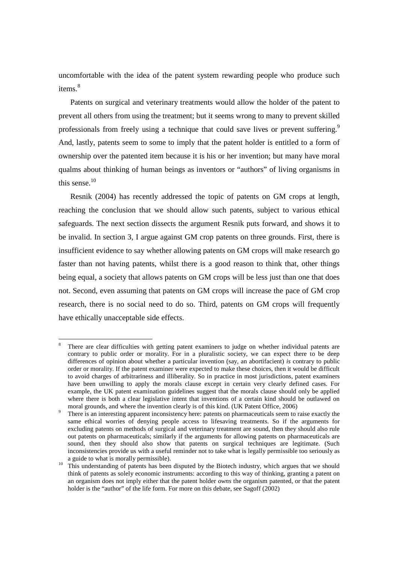uncomfortable with the idea of the patent system rewarding people who produce such items.<sup>8</sup>

Patents on surgical and veterinary treatments would allow the holder of the patent to prevent all others from using the treatment; but it seems wrong to many to prevent skilled professionals from freely using a technique that could save lives or prevent suffering.<sup>9</sup> And, lastly, patents seem to some to imply that the patent holder is entitled to a form of ownership over the patented item because it is his or her invention; but many have moral qualms about thinking of human beings as inventors or "authors" of living organisms in this sense. $10$ 

Resnik (2004) has recently addressed the topic of patents on GM crops at length, reaching the conclusion that we should allow such patents, subject to various ethical safeguards. The next section dissects the argument Resnik puts forward, and shows it to be invalid. In section 3, I argue against GM crop patents on three grounds. First, there is insufficient evidence to say whether allowing patents on GM crops will make research go faster than not having patents, whilst there is a good reason to think that, other things being equal, a society that allows patents on GM crops will be less just than one that does not. Second, even assuming that patents on GM crops will increase the pace of GM crop research, there is no social need to do so. Third, patents on GM crops will frequently have ethically unacceptable side effects.

There are clear difficulties with getting patent examiners to judge on whether individual patents are contrary to public order or morality. For in a pluralistic society, we can expect there to be deep differences of opinion about whether a particular invention (say, an abortifacient) *is* contrary to public order or morality. If the patent examiner were expected to make these choices, then it would be difficult to avoid charges of arbitrariness and illiberality. So in practice in most jurisdictions, patent examiners have been unwilling to apply the morals clause except in certain very clearly defined cases. For example, the UK patent examination guidelines suggest that the morals clause should only be applied where there is both a clear legislative intent that inventions of a certain kind should be outlawed on moral grounds, and where the invention clearly is of this kind. (UK Patent Office, 2006)

<sup>&</sup>lt;sup>9</sup> There is an interesting apparent inconsistency here: patents on pharmaceuticals seem to raise exactly the same ethical worries of denying people access to lifesaving treatments. So if the arguments for excluding patents on methods of surgical and veterinary treatment are sound, then they should also rule out patents on pharmaceuticals; similarly if the arguments for allowing patents on pharmaceuticals are sound, then they should also show that patents on surgical techniques are legitimate. (Such inconsistencies provide us with a useful reminder not to take what is legally permissible too seriously as a guide to what is morally permissible).

<sup>10</sup> This understanding of patents has been disputed by the Biotech industry, which argues that we should think of patents as solely economic instruments: according to this way of thinking, granting a patent on an organism does not imply either that the patent holder *owns* the organism patented, or that the patent holder is the "author" of the life form. For more on this debate, see Sagoff (2002)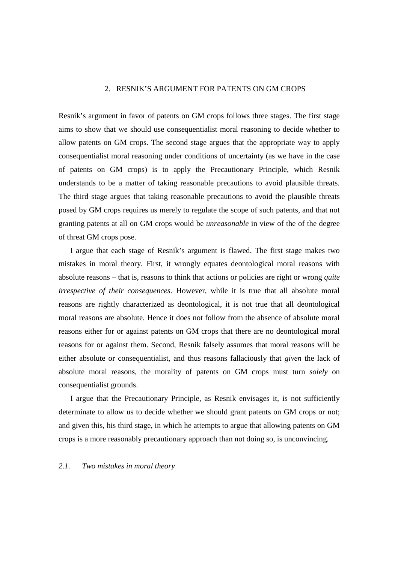# 2. RESNIK'S ARGUMENT FOR PATENTS ON GM CROPS

Resnik's argument in favor of patents on GM crops follows three stages. The first stage aims to show that we should use consequentialist moral reasoning to decide whether to allow patents on GM crops. The second stage argues that the appropriate way to apply consequentialist moral reasoning under conditions of uncertainty (as we have in the case of patents on GM crops) is to apply the Precautionary Principle, which Resnik understands to be a matter of taking reasonable precautions to avoid plausible threats. The third stage argues that taking reasonable precautions to avoid the plausible threats posed by GM crops requires us merely to regulate the scope of such patents, and that not granting patents at all on GM crops would be *unreasonable* in view of the of the degree of threat GM crops pose.

I argue that each stage of Resnik's argument is flawed. The first stage makes two mistakes in moral theory. First, it wrongly equates deontological moral reasons with absolute reasons – that is, reasons to think that actions or policies are right or wrong *quite irrespective of their consequences.* However, while it is true that all absolute moral reasons are rightly characterized as deontological, it is not true that all deontological moral reasons are absolute. Hence it does not follow from the absence of absolute moral reasons either for or against patents on GM crops that there are no deontological moral reasons for or against them. Second, Resnik falsely assumes that moral reasons will be either absolute or consequentialist, and thus reasons fallaciously that *given* the lack of absolute moral reasons, the morality of patents on GM crops must turn *solely* on consequentialist grounds.

I argue that the Precautionary Principle, as Resnik envisages it, is not sufficiently determinate to allow us to decide whether we should grant patents on GM crops or not; and given this, his third stage, in which he attempts to argue that allowing patents on GM crops is a more reasonably precautionary approach than not doing so, is unconvincing.

### *2.1. Two mistakes in moral theory*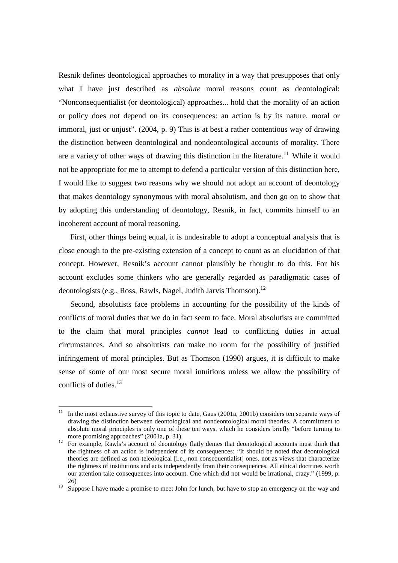Resnik defines deontological approaches to morality in a way that presupposes that only what I have just described as *absolute* moral reasons count as deontological: "Nonconsequentialist (or deontological) approaches... hold that the morality of an action or policy does not depend on its consequences: an action is by its nature, moral or immoral, just or unjust". (2004, p. 9) This is at best a rather contentious way of drawing the distinction between deontological and nondeontological accounts of morality. There are a variety of other ways of drawing this distinction in the literature.<sup>11</sup> While it would not be appropriate for me to attempt to defend a particular version of this distinction here, I would like to suggest two reasons why we should not adopt an account of deontology that makes deontology synonymous with moral absolutism, and then go on to show that by adopting this understanding of deontology, Resnik, in fact, commits himself to an incoherent account of moral reasoning.

First, other things being equal, it is undesirable to adopt a conceptual analysis that is close enough to the pre-existing extension of a concept to count as an elucidation of that concept. However, Resnik's account cannot plausibly be thought to do this. For his account excludes some thinkers who are generally regarded as paradigmatic cases of deontologists (e.g., Ross, Rawls, Nagel, Judith Jarvis Thomson).<sup>12</sup>

Second, absolutists face problems in accounting for the possibility of the kinds of conflicts of moral duties that we do in fact seem to face. Moral absolutists are committed to the claim that moral principles *cannot* lead to conflicting duties in actual circumstances. And so absolutists can make no room for the possibility of justified infringement of moral principles. But as Thomson (1990) argues, it is difficult to make sense of some of our most secure moral intuitions unless we allow the possibility of conflicts of duties.<sup>13</sup>

<sup>&</sup>lt;sup>11</sup> In the most exhaustive survey of this topic to date, Gaus (2001a, 2001b) considers ten separate ways of drawing the distinction between deontological and nondeontological moral theories. A commitment to absolute moral principles is only one of these ten ways, which he considers briefly "before turning to more promising approaches" (2001a, p. 31).

<sup>&</sup>lt;sup>12</sup> For example, Rawls's account of deontology flatly denies that deontological accounts must think that the rightness of an action is independent of its consequences: "It should be noted that deontological theories are defined as non-teleological [i.e., non consequentialist] ones, not as views that characterize the rightness of institutions and acts independently from their consequences. All ethical doctrines worth our attention take consequences into account. One which did not would be irrational, crazy." (1999, p. 26)

 $\frac{13}{13}$  Suppose I have made a promise to meet John for lunch, but have to stop an emergency on the way and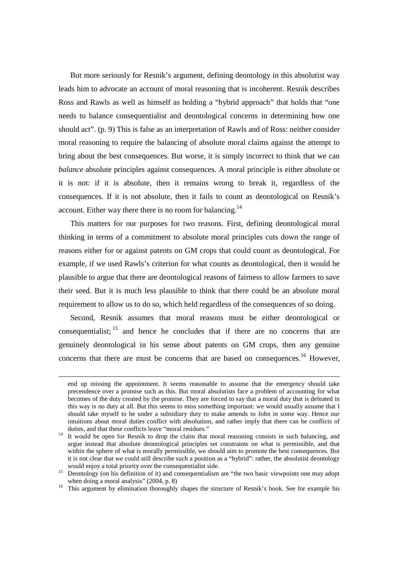But more seriously for Resnik's argument, defining deontology in this absolutist way leads him to advocate an account of moral reasoning that is incoherent. Resnik describes Ross and Rawls as well as himself as holding a "hybrid approach" that holds that "one needs to balance consequentialist and deontological concerns in determining how one should act". (p. 9) This is false as an interpretation of Rawls and of Ross: neither consider moral reasoning to require the balancing of absolute moral claims against the attempt to bring about the best consequences. But worse, it is simply incorrect to think that we can *balance* absolute principles against consequences. A moral principle is either absolute or it is not: if it is absolute, then it remains wrong to break it, regardless of the consequences. If it is not absolute, then it fails to count as deontological on Resnik's account. Either way there there is no room for balancing.<sup>14</sup>

This matters for our purposes for two reasons. First, defining deontological moral thinking in terms of a commitment to absolute moral principles cuts down the range of reasons either for or against patents on GM crops that could count as deontological. For example, if we used Rawls's criterion for what counts as deontological, then it would be plausible to argue that there are deontological reasons of fairness to allow farmers to save their seed. But it is much less plausible to think that there could be an absolute moral requirement to allow us to do so, which held regardless of the consequences of so doing.

Second, Resnik assumes that moral reasons must be either deontological or consequentialist;  $15$  and hence he concludes that if there are no concerns that are genuinely deontological in his sense about patents on GM crops, then any genuine concerns that there are must be concerns that are based on consequences.<sup>16</sup> However,

end up missing the appointment. It seems reasonable to assume that the emergency should take precendence over a promise such as this. But moral absolutists face a problem of accounting for what becomes of the duty created by the promise. They are forced to say that a moral duty that is defeated in this way is no duty at all. But this seems to miss something important: we would usually assume that I should take myself to be under a subsidiary duty to make amends to John in some way. Hence our intuitions about moral duties conflict with absolutism, and rather imply that there can be conflicts of duties, and that these conflicts leave "moral residues."

<sup>&</sup>lt;sup>14</sup> It would be open for Resnik to drop the claim that moral reasoning consists in such balancing, and argue instead that absolute deontological principles set constraints on what is permissible, and that within the sphere of what is morally permissible, we should aim to promote the best consequences. But it is not clear that we could still describe such a position as a "hybrid": rather, the absolutist deontology would enjoy a total priority over the consequentialist side.

<sup>&</sup>lt;sup>15</sup> Deontology (on his definition of it) and consequentialism are "the two basic viewpoints one may adopt when doing a moral analysis" (2004, p. 8)

<sup>&</sup>lt;sup>16</sup> This argument by elimination thoroughly shapes the structure of Resnik's book. See for example his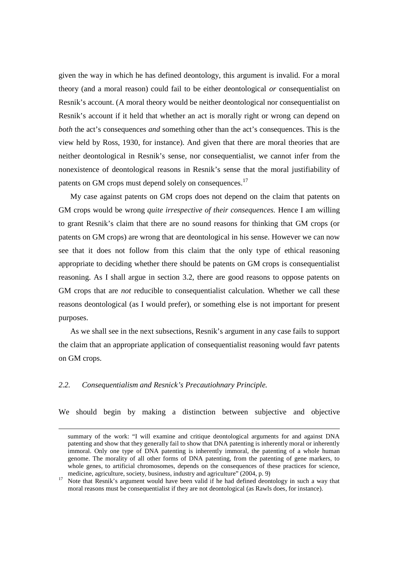given the way in which he has defined deontology, this argument is invalid. For a moral theory (and a moral reason) could fail to be either deontological *or* consequentialist on Resnik's account. (A moral theory would be neither deontological nor consequentialist on Resnik's account if it held that whether an act is morally right or wrong can depend on *both* the act's consequences *and* something other than the act's consequences. This is the view held by Ross, 1930, for instance). And given that there are moral theories that are neither deontological in Resnik's sense, nor consequentialist, we cannot infer from the nonexistence of deontological reasons in Resnik's sense that the moral justifiability of patents on GM crops must depend solely on consequences.<sup>17</sup>

My case against patents on GM crops does not depend on the claim that patents on GM crops would be wrong *quite irrespective of their consequences.* Hence I am willing to grant Resnik's claim that there are no sound reasons for thinking that GM crops (or patents on GM crops) are wrong that are deontological in his sense. However we can now see that it does not follow from this claim that the only type of ethical reasoning appropriate to deciding whether there should be patents on GM crops is consequentialist reasoning. As I shall argue in section 3.2, there are good reasons to oppose patents on GM crops that are *not* reducible to consequentialist calculation. Whether we call these reasons deontological (as I would prefer), or something else is not important for present purposes.

As we shall see in the next subsections, Resnik's argument in any case fails to support the claim that an appropriate application of consequentialist reasoning would favr patents on GM crops.

## *2.2. Consequentialism and Resnick's Precautiohnary Principle.*

We should begin by making a distinction between subjective and objective

summary of the work: "I will examine and critique deontological arguments for and against DNA patenting and show that they generally fail to show that DNA patenting is inherently moral or inherently immoral. Only one type of DNA patenting is inherently immoral, the patenting of a whole human genome. The morality of all other forms of DNA patenting, from the patenting of gene markers, to whole genes, to artificial chromosomes, depends on the consequences of these practices for science, medicine, agriculture, society, business, industry and agriculture" (2004, p. 9)

Note that Resnik's argument would have been valid if he had defined deontology in such a way that moral reasons must be consequentialist if they are not deontological (as Rawls does, for instance).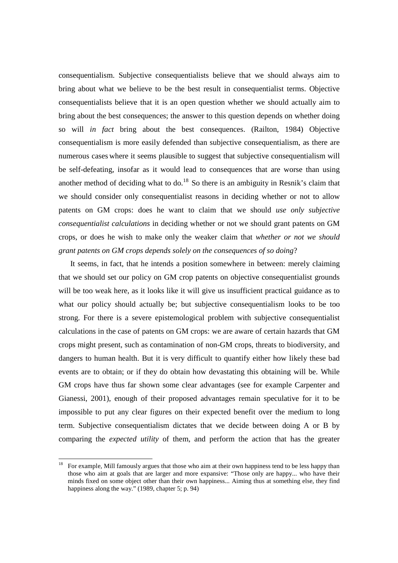consequentialism. Subjective consequentialists believe that we should always aim to bring about what we believe to be the best result in consequentialist terms. Objective consequentialists believe that it is an open question whether we should actually aim to bring about the best consequences; the answer to this question depends on whether doing so will *in fact* bring about the best consequences. (Railton, 1984) Objective consequentialism is more easily defended than subjective consequentialism, as there are numerous cases where it seems plausible to suggest that subjective consequentialism will be self-defeating, insofar as it would lead to consequences that are worse than using another method of deciding what to do.<sup>18</sup> So there is an ambiguity in Resnik's claim that we should consider only consequentialist reasons in deciding whether or not to allow patents on GM crops: does he want to claim that we should *use only subjective consequentialist calculations* in deciding whether or not we should grant patents on GM crops, or does he wish to make only the weaker claim that *whether or not we should grant patents on GM crops depends solely on the consequences of so doing*?

It seems, in fact, that he intends a position somewhere in between: merely claiming that we should set our policy on GM crop patents on objective consequentialist grounds will be too weak here, as it looks like it will give us insufficient practical guidance as to what our policy should actually be; but subjective consequentialism looks to be too strong. For there is a severe epistemological problem with subjective consequentialist calculations in the case of patents on GM crops: we are aware of certain hazards that GM crops might present, such as contamination of non-GM crops, threats to biodiversity, and dangers to human health. But it is very difficult to quantify either how likely these bad events are to obtain; or if they do obtain how devastating this obtaining will be. While GM crops have thus far shown some clear advantages (see for example Carpenter and Gianessi, 2001), enough of their proposed advantages remain speculative for it to be impossible to put any clear figures on their expected benefit over the medium to long term. Subjective consequentialism dictates that we decide between doing A or B by comparing the *expected utility* of them, and perform the action that has the greater

<sup>18</sup> For example, Mill famously argues that those who aim at their own happiness tend to be less happy than those who aim at goals that are larger and more expansive: "Those only are happy... who have their minds fixed on some object other than their own happiness... Aiming thus at something else, they find happiness along the way." (1989, chapter 5; p. 94)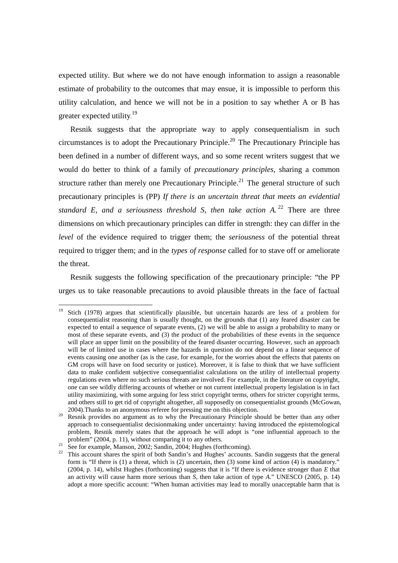expected utility. But where we do not have enough information to assign a reasonable estimate of probability to the outcomes that may ensue, it is impossible to perform this utility calculation, and hence we will not be in a position to say whether A or B has greater expected utility.<sup>19</sup>

Resnik suggests that the appropriate way to apply consequentialism in such circumstances is to adopt the Precautionary Principle.<sup>20</sup> The Precautionary Principle has been defined in a number of different ways, and so some recent writers suggest that we would do better to think of a family of *precautionary principles,* sharing a common structure rather than merely one Precautionary Principle.<sup>21</sup> The general structure of such precautionary principles is (PP) *If there is an uncertain threat that meets an evidential standard E, and a seriousness threshold S, then take action A.*  $^{22}$  There are three dimensions on which precautionary principles can differ in strength: they can differ in the *level* of the evidence required to trigger them; the *seriousness* of the potential threat required to trigger them; and in the *types of response* called for to stave off or ameliorate the threat.

Resnik suggests the following specification of the precautionary principle: "the PP urges us to take reasonable precautions to avoid plausible threats in the face of factual

<sup>&</sup>lt;sup>19</sup> Stich (1978) argues that scientifically plausible, but uncertain hazards are less of a problem for consequentialist reasoning than is usually thought, on the grounds that (1) any feared disaster can be expected to entail a sequence of separate events, (2) we will be able to assign a probability to many or most of these separate events, and (3) the product of the probabilities of these events in the sequence will place an upper limit on the possibility of the feared disaster occurring. However, such an approach will be of limited use in cases where the hazards in question do not depend on a linear sequence of events causing one another (as is the case, for example, for the worries about the effects that patents on GM crops will have on food security or justice). Moreover, it is false to think that we have sufficient data to make confident subjective consequentialist calculations on the utility of intellectual property regulations even where no such serious threats are involved. For example, in the literature on copyright, one can see wildly differing accounts of whether or not current intellectual property legislation is in fact utility maximizing, with some arguing for less strict copyright terms, others for stricter copyright terms, and others still to get rid of copyright altogether, all supposedly on consequentialist grounds (McGowan, 2004).Thanks to an anonymous referee for pressing me on this objection.

<sup>20</sup> Resnik provides no argument as to why the Precautionary Principle should be better than any other approach to consequentialist decisionmaking under uncertainty: having introduced the epistemological problem, Resnik merely states that the approach he will adopt is "one influential approach to the problem" (2004, p. 11), without comparing it to any others.

 $21$  See for example, Manson, 2002; Sandin, 2004; Hughes (forthcoming).

<sup>&</sup>lt;sup>22</sup> This account shares the spirit of both Sandin's and Hughes' accounts. Sandin suggests that the general form is "If there is (1) a threat, which is (2) uncertain, then (3) some kind of action (4) is mandatory." (2004, p. 14), whilst Hughes (forthcoming) suggests that it is "If there is evidence stronger than *E* that an activity will cause harm more serious than *S*, then take action of type *A*." UNESCO (2005, p. 14) adopt a more specific account: "When human activities may lead to morally unacceptable harm that is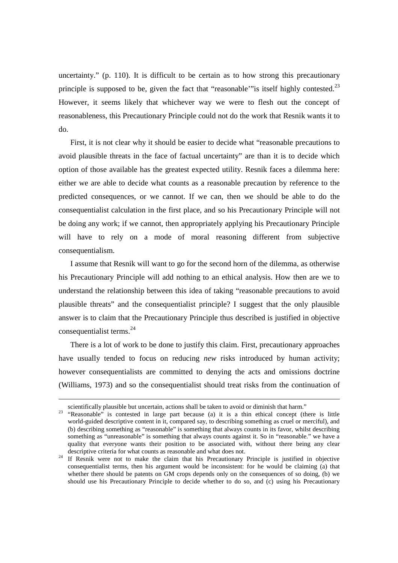uncertainty." (p. 110). It is difficult to be certain as to how strong this precautionary principle is supposed to be, given the fact that "reasonable" is itself highly contested.<sup>23</sup> However, it seems likely that whichever way we were to flesh out the concept of reasonableness, this Precautionary Principle could not do the work that Resnik wants it to do.

First, it is not clear why it should be easier to decide what "reasonable precautions to avoid plausible threats in the face of factual uncertainty" are than it is to decide which option of those available has the greatest expected utility. Resnik faces a dilemma here: either we are able to decide what counts as a reasonable precaution by reference to the predicted consequences, or we cannot. If we can, then we should be able to do the consequentialist calculation in the first place, and so his Precautionary Principle will not be doing any work; if we cannot, then appropriately applying his Precautionary Principle will have to rely on a mode of moral reasoning different from subjective consequentialism.

I assume that Resnik will want to go for the second horn of the dilemma, as otherwise his Precautionary Principle will add nothing to an ethical analysis. How then are we to understand the relationship between this idea of taking "reasonable precautions to avoid plausible threats" and the consequentialist principle? I suggest that the only plausible answer is to claim that the Precautionary Principle thus described is justified in objective consequentialist terms. $^{24}$ 

There is a lot of work to be done to justify this claim. First, precautionary approaches have usually tended to focus on reducing *new* risks introduced by human activity; however consequentialists are committed to denying the acts and omissions doctrine (Williams, 1973) and so the consequentialist should treat risks from the continuation of

scientifically plausible but uncertain, actions shall be taken to avoid or diminish that harm."

<sup>&</sup>lt;sup>23</sup> "Reasonable" is contested in large part because (a) it is a thin ethical concept (there is little world-guided descriptive content in it, compared say, to describing something as cruel or merciful), and (b) describing something as "reasonable" is something that always counts in its favor, whilst describing something as "unreasonable" is something that always counts against it. So in "reasonable." we have a quality that everyone wants their position to be associated with, without there being any clear descriptive criteria for what counts as reasonable and what does not.

<sup>&</sup>lt;sup>24</sup> If Resnik were not to make the claim that his Precautionary Principle is justified in objective consequentialist terms, then his argument would be inconsistent: for he would be claiming (a) that whether there should be patents on GM crops depends only on the consequences of so doing, (b) we should use his Precautionary Principle to decide whether to do so, and (c) using his Precautionary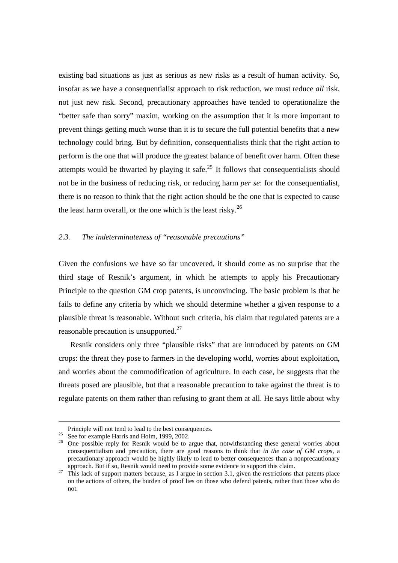existing bad situations as just as serious as new risks as a result of human activity. So, insofar as we have a consequentialist approach to risk reduction, we must reduce *all* risk, not just new risk. Second, precautionary approaches have tended to operationalize the "better safe than sorry" maxim, working on the assumption that it is more important to prevent things getting much worse than it is to secure the full potential benefits that a new technology could bring. But by definition, consequentialists think that the right action to perform is the one that will produce the greatest balance of benefit over harm. Often these attempts would be thwarted by playing it safe.<sup>25</sup> It follows that consequentialists should not be in the business of reducing risk, or reducing harm *per se*: for the consequentialist, there is no reason to think that the right action should be the one that is expected to cause the least harm overall, or the one which is the least risky.<sup>26</sup>

# *2.3. The indeterminateness of "reasonable precautions"*

Given the confusions we have so far uncovered, it should come as no surprise that the third stage of Resnik's argument, in which he attempts to apply his Precautionary Principle to the question GM crop patents, is unconvincing. The basic problem is that he fails to define any criteria by which we should determine whether a given response to a plausible threat is reasonable. Without such criteria, his claim that regulated patents are a reasonable precaution is unsupported. $27$ 

Resnik considers only three "plausible risks" that are introduced by patents on GM crops: the threat they pose to farmers in the developing world, worries about exploitation, and worries about the commodification of agriculture. In each case, he suggests that the threats posed are plausible, but that a reasonable precaution to take against the threat is to regulate patents on them rather than refusing to grant them at all. He says little about why

Principle will not tend to lead to the best consequences.

 $25$  See for example Harris and Holm, 1999, 2002.

<sup>&</sup>lt;sup>26</sup> One possible reply for Resnik would be to argue that, notwithstanding these general worries about consequentialism and precaution, there are good reasons to think that *in the case of GM crops,* a precautionary approach would be highly likely to lead to better consequences than a nonprecautionary approach. But if so, Resnik would need to provide some evidence to support this claim.

<sup>&</sup>lt;sup>27</sup> This lack of support matters because, as I argue in section 3.1, given the restrictions that patents place on the actions of others, the burden of proof lies on those who defend patents, rather than those who do not.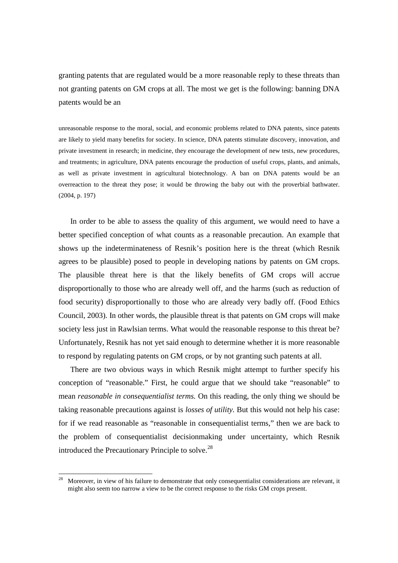granting patents that are regulated would be a more reasonable reply to these threats than not granting patents on GM crops at all. The most we get is the following: banning DNA patents would be an

unreasonable response to the moral, social, and economic problems related to DNA patents, since patents are likely to yield many benefits for society. In science, DNA patents stimulate discovery, innovation, and private investment in research; in medicine, they encourage the development of new tests, new procedures, and treatments; in agriculture, DNA patents encourage the production of useful crops, plants, and animals, as well as private investment in agricultural biotechnology. A ban on DNA patents would be an overreaction to the threat they pose; it would be throwing the baby out with the proverbial bathwater. (2004, p. 197)

In order to be able to assess the quality of this argument, we would need to have a better specified conception of what counts as a reasonable precaution. An example that shows up the indeterminateness of Resnik's position here is the threat (which Resnik agrees to be plausible) posed to people in developing nations by patents on GM crops. The plausible threat here is that the likely benefits of GM crops will accrue disproportionally to those who are already well off, and the harms (such as reduction of food security) disproportionally to those who are already very badly off. (Food Ethics Council, 2003). In other words, the plausible threat is that patents on GM crops will make society less just in Rawlsian terms. What would the reasonable response to this threat be? Unfortunately, Resnik has not yet said enough to determine whether it is more reasonable to respond by regulating patents on GM crops, or by not granting such patents at all.

There are two obvious ways in which Resnik might attempt to further specify his conception of "reasonable." First, he could argue that we should take "reasonable" to mean *reasonable in consequentialist terms.* On this reading, the only thing we should be taking reasonable precautions against is *losses of utility.* But this would not help his case: for if we read reasonable as "reasonable in consequentialist terms," then we are back to the problem of consequentialist decisionmaking under uncertainty, which Resnik introduced the Precautionary Principle to solve. $^{28}$ 

<sup>&</sup>lt;sup>28</sup> Moreover, in view of his failure to demonstrate that only consequentialist considerations are relevant, it might also seem too narrow a view to be the correct response to the risks GM crops present.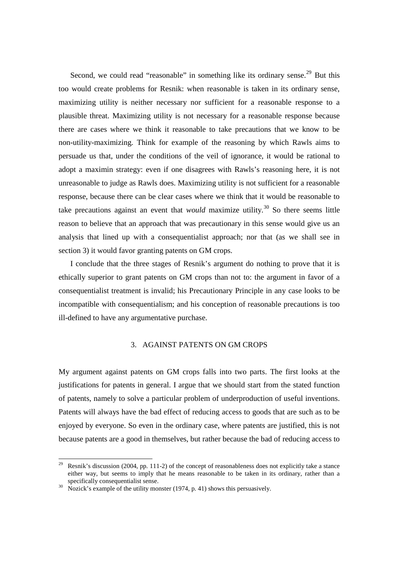Second, we could read "reasonable" in something like its ordinary sense.<sup>29</sup> But this too would create problems for Resnik: when reasonable is taken in its ordinary sense, maximizing utility is neither necessary nor sufficient for a reasonable response to a plausible threat. Maximizing utility is not necessary for a reasonable response because there are cases where we think it reasonable to take precautions that we know to be non-utility-maximizing. Think for example of the reasoning by which Rawls aims to persuade us that, under the conditions of the veil of ignorance, it would be rational to adopt a maximin strategy: even if one disagrees with Rawls's reasoning here, it is not unreasonable to judge as Rawls does. Maximizing utility is not sufficient for a reasonable response, because there can be clear cases where we think that it would be reasonable to take precautions against an event that *would* maximize utility.<sup>30</sup> So there seems little reason to believe that an approach that was precautionary in this sense would give us an analysis that lined up with a consequentialist approach; nor that (as we shall see in section 3) it would favor granting patents on GM crops.

I conclude that the three stages of Resnik's argument do nothing to prove that it is ethically superior to grant patents on GM crops than not to: the argument in favor of a consequentialist treatment is invalid; his Precautionary Principle in any case looks to be incompatible with consequentialism; and his conception of reasonable precautions is too ill-defined to have any argumentative purchase.

## 3. AGAINST PATENTS ON GM CROPS

My argument against patents on GM crops falls into two parts. The first looks at the justifications for patents in general. I argue that we should start from the stated function of patents, namely to solve a particular problem of underproduction of useful inventions. Patents will always have the bad effect of reducing access to goods that are such as to be enjoyed by everyone. So even in the ordinary case, where patents are justified, this is not because patents are a good in themselves, but rather because the bad of reducing access to

<sup>&</sup>lt;sup>29</sup> Resnik's discussion (2004, pp. 111-2) of the concept of reasonableness does not explicitly take a stance either way, but seems to imply that he means reasonable to be taken in its ordinary, rather than a specifically consequentialist sense.

<sup>&</sup>lt;sup>30</sup> Nozick's example of the utility monster (1974, p. 41) shows this persuasively.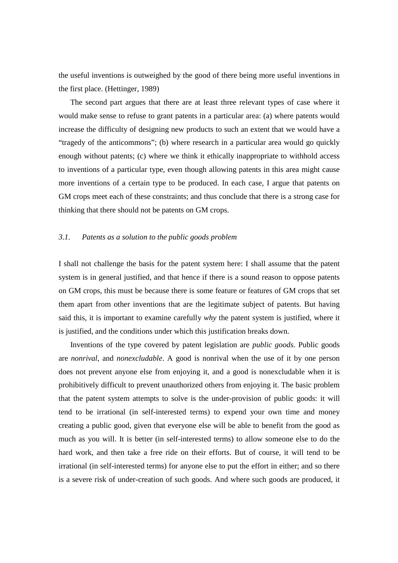the useful inventions is outweighed by the good of there being more useful inventions in the first place. (Hettinger, 1989)

The second part argues that there are at least three relevant types of case where it would make sense to refuse to grant patents in a particular area: (a) where patents would increase the difficulty of designing new products to such an extent that we would have a "tragedy of the anticommons"; (b) where research in a particular area would go quickly enough without patents; (c) where we think it ethically inappropriate to withhold access to inventions of a particular type, even though allowing patents in this area might cause more inventions of a certain type to be produced. In each case, I argue that patents on GM crops meet each of these constraints; and thus conclude that there is a strong case for thinking that there should not be patents on GM crops.

# *3.1. Patents as a solution to the public goods problem*

I shall not challenge the basis for the patent system here: I shall assume that the patent system is in general justified, and that hence if there is a sound reason to oppose patents on GM crops, this must be because there is some feature or features of GM crops that set them apart from other inventions that are the legitimate subject of patents. But having said this, it is important to examine carefully *why* the patent system is justified, where it is justified, and the conditions under which this justification breaks down.

Inventions of the type covered by patent legislation are *public goods.* Public goods are *nonrival*, and *nonexcludable*. A good is nonrival when the use of it by one person does not prevent anyone else from enjoying it, and a good is nonexcludable when it is prohibitively difficult to prevent unauthorized others from enjoying it. The basic problem that the patent system attempts to solve is the under-provision of public goods: it will tend to be irrational (in self-interested terms) to expend your own time and money creating a public good, given that everyone else will be able to benefit from the good as much as you will. It is better (in self-interested terms) to allow someone else to do the hard work, and then take a free ride on their efforts. But of course, it will tend to be irrational (in self-interested terms) for anyone else to put the effort in either; and so there is a severe risk of under-creation of such goods. And where such goods are produced, it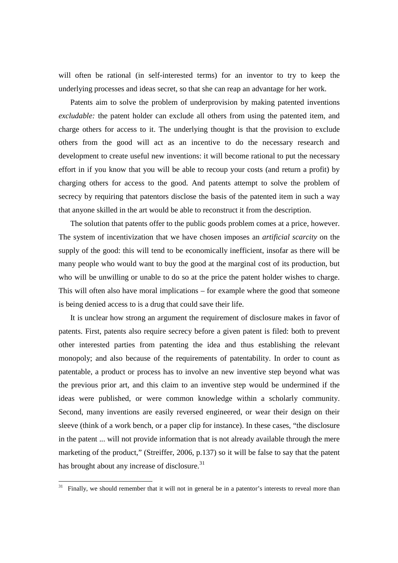will often be rational (in self-interested terms) for an inventor to try to keep the underlying processes and ideas secret, so that she can reap an advantage for her work.

Patents aim to solve the problem of underprovision by making patented inventions *excludable:* the patent holder can exclude all others from using the patented item, and charge others for access to it. The underlying thought is that the provision to exclude others from the good will act as an incentive to do the necessary research and development to create useful new inventions: it will become rational to put the necessary effort in if you know that you will be able to recoup your costs (and return a profit) by charging others for access to the good. And patents attempt to solve the problem of secrecy by requiring that patentors disclose the basis of the patented item in such a way that anyone skilled in the art would be able to reconstruct it from the description.

The solution that patents offer to the public goods problem comes at a price, however. The system of incentivization that we have chosen imposes an *artificial scarcity* on the supply of the good: this will tend to be economically inefficient, insofar as there will be many people who would want to buy the good at the marginal cost of its production, but who will be unwilling or unable to do so at the price the patent holder wishes to charge. This will often also have moral implications – for example where the good that someone is being denied access to is a drug that could save their life.

It is unclear how strong an argument the requirement of disclosure makes in favor of patents. First, patents also require secrecy before a given patent is filed: both to prevent other interested parties from patenting the idea and thus establishing the relevant monopoly; and also because of the requirements of patentability. In order to count as patentable, a product or process has to involve an new inventive step beyond what was the previous prior art, and this claim to an inventive step would be undermined if the ideas were published, or were common knowledge within a scholarly community. Second, many inventions are easily reversed engineered, or wear their design on their sleeve (think of a work bench, or a paper clip for instance). In these cases, "the disclosure in the patent ... will not provide information that is not already available through the mere marketing of the product," (Streiffer, 2006, p.137) so it will be false to say that the patent has brought about any increase of disclosure.<sup>31</sup>

<sup>&</sup>lt;sup>31</sup> Finally, we should remember that it will not in general be in a patentor's interests to reveal more than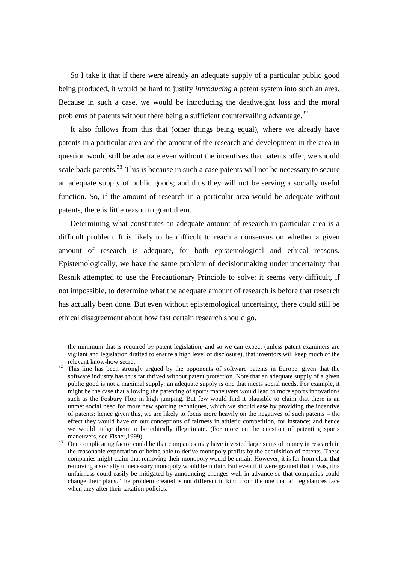So I take it that if there were already an adequate supply of a particular public good being produced, it would be hard to justify *introducing* a patent system into such an area. Because in such a case, we would be introducing the deadweight loss and the moral problems of patents without there being a sufficient countervailing advantage.<sup>32</sup>

It also follows from this that (other things being equal), where we already have patents in a particular area and the amount of the research and development in the area in question would still be adequate even without the incentives that patents offer, we should scale back patents.<sup>33</sup> This is because in such a case patents will not be necessary to secure an adequate supply of public goods; and thus they will not be serving a socially useful function. So, if the amount of research in a particular area would be adequate without patents, there is little reason to grant them.

Determining what constitutes an adequate amount of research in particular area is a difficult problem. It is likely to be difficult to reach a consensus on whether a given amount of research is adequate, for both epistemological and ethical reasons. Epistemologically, we have the same problem of decisionmaking under uncertainty that Resnik attempted to use the Precautionary Principle to solve: it seems very difficult, if not impossible, to determine what the adequate amount of research is before that research has actually been done. But even without epistemological uncertainty, there could still be ethical disagreement about how fast certain research should go.

the minimum that is required by patent legislation, and so we can expect (unless patent examiners are vigilant and legislation drafted to ensure a high level of disclosure), that inventors will keep much of the relevant know-how secret.

<sup>&</sup>lt;sup>32</sup> This line has been strongly argued by the opponents of software patents in Europe, given that the software industry has thus far thrived without patent protection. Note that an adequate supply of a given public good is not a maximal supply: an adequate supply is one that meets social needs. For example, it might be the case that allowing the patenting of sports maneuvers would lead to more sports innovations such as the Fosbury Flop in high jumping. But few would find it plausible to claim that there is an unmet social need for more new sporting techniques, which we should ease by providing the incentive of patents: hence given this, we are likely to focus more heavily on the negatives of such patents – the effect they would have on our conceptions of fairness in athletic competition, for instance; and hence we would judge them to be ethically illegitimate. (For more on the question of patenting sports maneuvers, see Fisher,1999).

<sup>&</sup>lt;sup>33</sup> One complicating factor could be that companies may have invested large sums of money in research in the reasonable expectation of being able to derive monopoly profits by the acquisition of patents. These companies might claim that removing their monopoly would be unfair. However, it is far from clear that removing a socially unnecessary monopoly would be unfair. But even if it were granted that it was, this unfairness could easily be mitigated by announcing changes well in advance so that companies could change their plans. The problem created is not different in kind from the one that all legislatures face when they alter their taxation policies.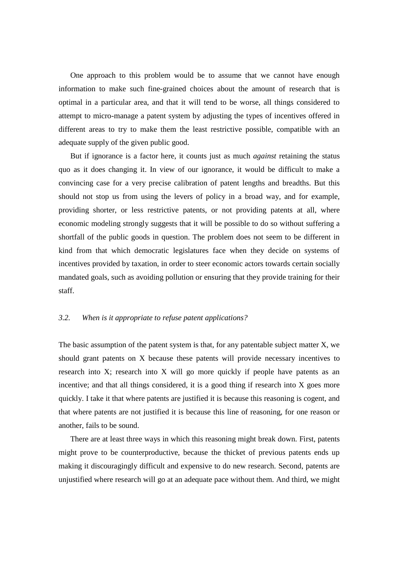One approach to this problem would be to assume that we cannot have enough information to make such fine-grained choices about the amount of research that is optimal in a particular area, and that it will tend to be worse, all things considered to attempt to micro-manage a patent system by adjusting the types of incentives offered in different areas to try to make them the least restrictive possible, compatible with an adequate supply of the given public good.

But if ignorance is a factor here, it counts just as much *against* retaining the status quo as it does changing it. In view of our ignorance, it would be difficult to make a convincing case for a very precise calibration of patent lengths and breadths. But this should not stop us from using the levers of policy in a broad way, and for example, providing shorter, or less restrictive patents, or not providing patents at all, where economic modeling strongly suggests that it will be possible to do so without suffering a shortfall of the public goods in question. The problem does not seem to be different in kind from that which democratic legislatures face when they decide on systems of incentives provided by taxation, in order to steer economic actors towards certain socially mandated goals, such as avoiding pollution or ensuring that they provide training for their staff.

# *3.2. When is it appropriate to refuse patent applications?*

The basic assumption of the patent system is that, for any patentable subject matter X, we should grant patents on X because these patents will provide necessary incentives to research into X; research into X will go more quickly if people have patents as an incentive; and that all things considered, it is a good thing if research into X goes more quickly. I take it that where patents are justified it is because this reasoning is cogent, and that where patents are not justified it is because this line of reasoning, for one reason or another, fails to be sound.

There are at least three ways in which this reasoning might break down. First, patents might prove to be counterproductive, because the thicket of previous patents ends up making it discouragingly difficult and expensive to do new research. Second, patents are unjustified where research will go at an adequate pace without them. And third, we might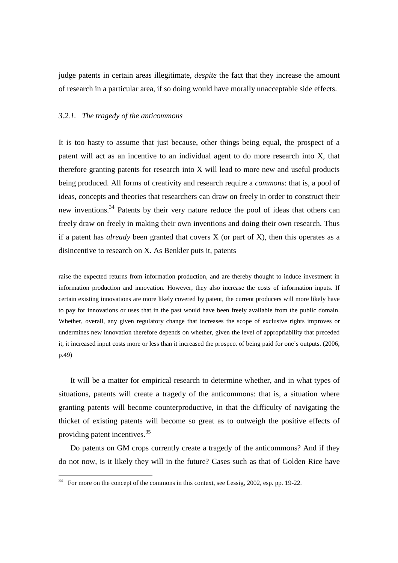judge patents in certain areas illegitimate, *despite* the fact that they increase the amount of research in a particular area, if so doing would have morally unacceptable side effects.

## *3.2.1. The tragedy of the anticommons*

It is too hasty to assume that just because, other things being equal, the prospect of a patent will act as an incentive to an individual agent to do more research into X, that therefore granting patents for research into X will lead to more new and useful products being produced. All forms of creativity and research require a *commons*: that is, a pool of ideas, concepts and theories that researchers can draw on freely in order to construct their new inventions.<sup>34</sup> Patents by their very nature reduce the pool of ideas that others can freely draw on freely in making their own inventions and doing their own research. Thus if a patent has *already* been granted that covers X (or part of X), then this operates as a disincentive to research on X. As Benkler puts it, patents

raise the expected returns from information production, and are thereby thought to induce investment in information production and innovation. However, they also increase the costs of information inputs. If certain existing innovations are more likely covered by patent, the current producers will more likely have to pay for innovations or uses that in the past would have been freely available from the public domain. Whether, overall, any given regulatory change that increases the scope of exclusive rights improves or undermines new innovation therefore depends on whether, given the level of appropriability that preceded it, it increased input costs more or less than it increased the prospect of being paid for one's outputs. (2006, p.49)

It will be a matter for empirical research to determine whether, and in what types of situations, patents will create a tragedy of the anticommons: that is, a situation where granting patents will become counterproductive, in that the difficulty of navigating the thicket of existing patents will become so great as to outweigh the positive effects of providing patent incentives.<sup>35</sup>

Do patents on GM crops currently create a tragedy of the anticommons? And if they do not now, is it likely they will in the future? Cases such as that of Golden Rice have

<sup>&</sup>lt;sup>34</sup> For more on the concept of the commons in this context, see Lessig, 2002, esp. pp. 19-22.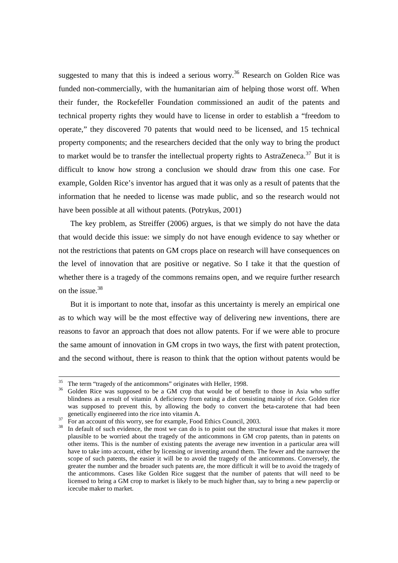suggested to many that this is indeed a serious worry.<sup>36</sup> Research on Golden Rice was funded non-commercially, with the humanitarian aim of helping those worst off. When their funder, the Rockefeller Foundation commissioned an audit of the patents and technical property rights they would have to license in order to establish a "freedom to operate," they discovered 70 patents that would need to be licensed, and 15 technical property components; and the researchers decided that the only way to bring the product to market would be to transfer the intellectual property rights to AstraZeneca.<sup>37</sup> But it is difficult to know how strong a conclusion we should draw from this one case. For example, Golden Rice's inventor has argued that it was only as a result of patents that the information that he needed to license was made public, and so the research would not have been possible at all without patents. (Potrykus, 2001)

The key problem, as Streiffer (2006) argues, is that we simply do not have the data that would decide this issue: we simply do not have enough evidence to say whether or not the restrictions that patents on GM crops place on research will have consequences on the level of innovation that are positive or negative. So I take it that the question of whether there is a tragedy of the commons remains open, and we require further research on the issue  $38$ 

But it is important to note that, insofar as this uncertainty is merely an empirical one as to which way will be the most effective way of delivering new inventions, there are reasons to favor an approach that does not allow patents. For if we were able to procure the same amount of innovation in GM crops in two ways, the first with patent protection, and the second without, there is reason to think that the option without patents would be

<sup>&</sup>lt;sup>35</sup> The term "tragedy of the anticommons" originates with Heller, 1998.<br><sup>36</sup> Golden Pice was supposed to be a GM crop that would be of be-

Golden Rice was supposed to be a GM crop that would be of benefit to those in Asia who suffer blindness as a result of vitamin A deficiency from eating a diet consisting mainly of rice. Golden rice was supposed to prevent this, by allowing the body to convert the beta-carotene that had been genetically engineered into the rice into vitamin A.

 $\frac{37}{100}$  For an account of this worry, see for example, Food Ethics Council, 2003.

In default of such evidence, the most we can do is to point out the structural issue that makes it more plausible to be worried about the tragedy of the anticommons in GM crop patents, than in patents on other items. This is the number of existing patents the average new invention in a particular area will have to take into account, either by licensing or inventing around them. The fewer and the narrower the scope of such patents, the easier it will be to avoid the tragedy of the anticommons. Conversely, the greater the number and the broader such patents are, the more difficult it will be to avoid the tragedy of the anticommons. Cases like Golden Rice suggest that the number of patents that will need to be licensed to bring a GM crop to market is likely to be much higher than, say to bring a new paperclip or icecube maker to market.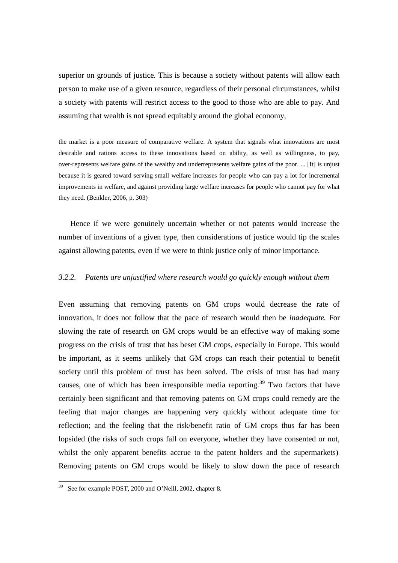superior on grounds of justice. This is because a society without patents will allow each person to make use of a given resource, regardless of their personal circumstances, whilst a society with patents will restrict access to the good to those who are able to pay. And assuming that wealth is not spread equitably around the global economy,

the market is a poor measure of comparative welfare. A system that signals what innovations are most desirable and rations access to these innovations based on ability, as well as willingness, to pay, over-represents welfare gains of the wealthy and underrepresents welfare gains of the poor. ... [It] is unjust because it is geared toward serving small welfare increases for people who can pay a lot for incremental improvements in welfare, and against providing large welfare increases for people who cannot pay for what they need. (Benkler, 2006, p. 303)

Hence if we were genuinely uncertain whether or not patents would increase the number of inventions of a given type, then considerations of justice would tip the scales against allowing patents, even if we were to think justice only of minor importance.

### *3.2.2. Patents are unjustified where research would go quickly enough without them*

Even assuming that removing patents on GM crops would decrease the rate of innovation, it does not follow that the pace of research would then be *inadequate.* For slowing the rate of research on GM crops would be an effective way of making some progress on the crisis of trust that has beset GM crops, especially in Europe. This would be important, as it seems unlikely that GM crops can reach their potential to benefit society until this problem of trust has been solved. The crisis of trust has had many causes, one of which has been irresponsible media reporting.<sup>39</sup> Two factors that have certainly been significant and that removing patents on GM crops could remedy are the feeling that major changes are happening very quickly without adequate time for reflection; and the feeling that the risk/benefit ratio of GM crops thus far has been lopsided (the risks of such crops fall on everyone, whether they have consented or not, whilst the only apparent benefits accrue to the patent holders and the supermarkets). Removing patents on GM crops would be likely to slow down the pace of research

<sup>39</sup> See for example POST, 2000 and O'Neill, 2002, chapter 8.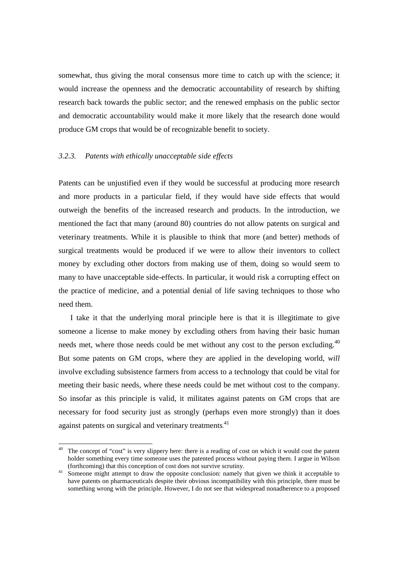somewhat, thus giving the moral consensus more time to catch up with the science; it would increase the openness and the democratic accountability of research by shifting research back towards the public sector; and the renewed emphasis on the public sector and democratic accountability would make it more likely that the research done would produce GM crops that would be of recognizable benefit to society.

# *3.2.3. Patents with ethically unacceptable side effects*

Patents can be unjustified even if they would be successful at producing more research and more products in a particular field, if they would have side effects that would outweigh the benefits of the increased research and products. In the introduction, we mentioned the fact that many (around 80) countries do not allow patents on surgical and veterinary treatments. While it is plausible to think that more (and better) methods of surgical treatments would be produced if we were to allow their inventors to collect money by excluding other doctors from making use of them, doing so would seem to many to have unacceptable side-effects. In particular, it would risk a corrupting effect on the practice of medicine, and a potential denial of life saving techniques to those who need them.

I take it that the underlying moral principle here is that it is illegitimate to give someone a license to make money by excluding others from having their basic human needs met, where those needs could be met without any cost to the person excluding.<sup>40</sup> But some patents on GM crops, where they are applied in the developing world, *will* involve excluding subsistence farmers from access to a technology that could be vital for meeting their basic needs, where these needs could be met without cost to the company. So insofar as this principle is valid, it militates against patents on GM crops that are necessary for food security just as strongly (perhaps even more strongly) than it does against patents on surgical and veterinary treatments.<sup>41</sup>

<sup>&</sup>lt;sup>40</sup> The concept of "cost" is very slippery here: there is a reading of cost on which it would cost the patent holder something every time someone uses the patented process without paying them. I argue in Wilson (forthcoming) that this conception of cost does not survive scrutiny.

Someone might attempt to draw the opposite conclusion: namely that given we think it acceptable to have patents on pharmaceuticals despite their obvious incompatibility with this principle, there must be something wrong with the principle. However, I do not see that widespread nonadherence to a proposed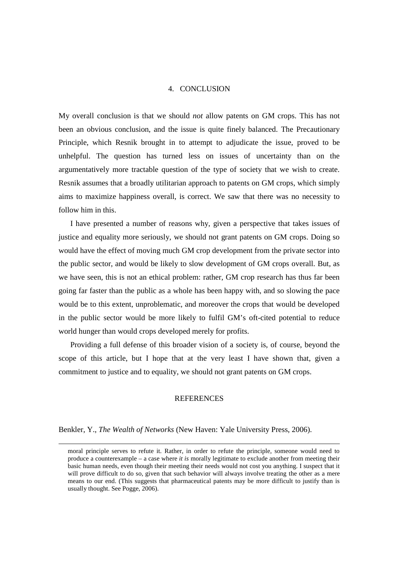## 4. CONCLUSION

My overall conclusion is that we should *not* allow patents on GM crops. This has not been an obvious conclusion, and the issue is quite finely balanced. The Precautionary Principle, which Resnik brought in to attempt to adjudicate the issue, proved to be unhelpful. The question has turned less on issues of uncertainty than on the argumentatively more tractable question of the type of society that we wish to create. Resnik assumes that a broadly utilitarian approach to patents on GM crops, which simply aims to maximize happiness overall, is correct. We saw that there was no necessity to follow him in this.

I have presented a number of reasons why, given a perspective that takes issues of justice and equality more seriously, we should not grant patents on GM crops. Doing so would have the effect of moving much GM crop development from the private sector into the public sector, and would be likely to slow development of GM crops overall. But, as we have seen, this is not an ethical problem: rather, GM crop research has thus far been going far faster than the public as a whole has been happy with, and so slowing the pace would be to this extent, unproblematic, and moreover the crops that would be developed in the public sector would be more likely to fulfil GM's oft-cited potential to reduce world hunger than would crops developed merely for profits.

Providing a full defense of this broader vision of a society is, of course, beyond the scope of this article, but I hope that at the very least I have shown that, given a commitment to justice and to equality, we should not grant patents on GM crops.

#### **REFERENCES**

Benkler, Y., *The Wealth of Networks* (New Haven: Yale University Press, 2006).

moral principle serves to refute it. Rather, in order to refute the principle, someone would need to produce a counterexample – a case where *it is* morally legitimate to exclude another from meeting their basic human needs, even though their meeting their needs would not cost you anything. I suspect that it will prove difficult to do so, given that such behavior will always involve treating the other as a mere means to our end. (This suggests that pharmaceutical patents may be more difficult to justify than is usually thought. See Pogge, 2006).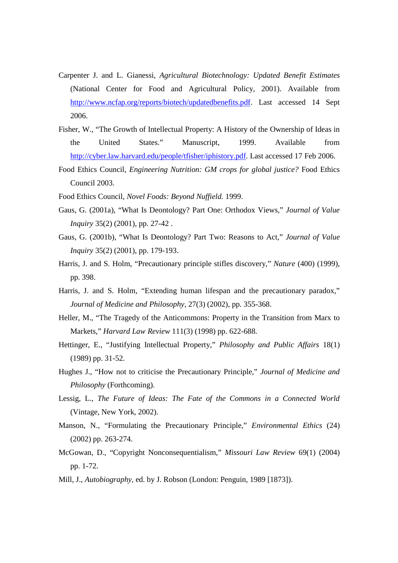- Carpenter J. and L. Gianessi, *Agricultural Biotechnology: Updated Benefit Estimates* (National Center for Food and Agricultural Policy, 2001). Available from http://www.ncfap.org/reports/biotech/updatedbenefits.pdf. Last accessed 14 Sept 2006.
- Fisher, W., "The Growth of Intellectual Property: A History of the Ownership of Ideas in the United States." Manuscript, 1999. Available from http://cyber.law.harvard.edu/people/tfisher/iphistory.pdf. Last accessed 17 Feb 2006.
- Food Ethics Council, *Engineering Nutrition: GM crops for global justice?* Food Ethics Council 2003.
- Food Ethics Council, *Novel Foods: Beyond Nuffield.* 1999.
- Gaus, G. (2001a), "What Is Deontology? Part One: Orthodox Views," *Journal of Value Inquiry* 35(2) (2001), pp. 27-42 .
- Gaus, G. (2001b), "What Is Deontology? Part Two: Reasons to Act," *Journal of Value Inquiry* 35(2) (2001), pp. 179-193.
- Harris, J. and S. Holm, "Precautionary principle stifles discovery," *Nature* (400) (1999), pp. 398.
- Harris, J. and S. Holm, "Extending human lifespan and the precautionary paradox," *Journal of Medicine and Philosophy*, 27(3) (2002), pp. 355-368.
- Heller, M., "The Tragedy of the Anticommons: Property in the Transition from Marx to Markets," *Harvard Law Review* 111(3) (1998) pp. 622-688.
- Hettinger, E., "Justifying Intellectual Property," *Philosophy and Public Affairs* 18(1) (1989) pp. 31-52.
- Hughes J., "How not to criticise the Precautionary Principle," *Journal of Medicine and Philosophy* (Forthcoming).
- Lessig, L., *The Future of Ideas: The Fate of the Commons in a Connected World* (Vintage, New York, 2002).
- Manson, N., "Formulating the Precautionary Principle," *Environmental Ethics* (24) (2002) pp. 263-274.
- McGowan, D., "Copyright Nonconsequentialism," *Missouri Law Review* 69(1) (2004) pp. 1-72.
- Mill, J., *Autobiography,* ed. by J. Robson (London: Penguin, 1989 [1873]).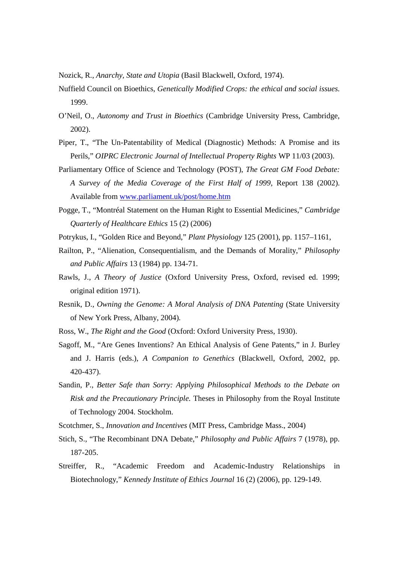Nozick, R., *Anarchy, State and Utopia* (Basil Blackwell, Oxford, 1974).

- Nuffield Council on Bioethics, *Genetically Modified Crops: the ethical and social issues.* 1999.
- O'Neil, O., *Autonomy and Trust in Bioethics* (Cambridge University Press, Cambridge, 2002).
- Piper, T., "The Un-Patentability of Medical (Diagnostic) Methods: A Promise and its Perils," *OIPRC Electronic Journal of Intellectual Property Rights* WP 11/03 (2003).
- Parliamentary Office of Science and Technology (POST), *The Great GM Food Debate: A Survey of the Media Coverage of the First Half of 1999,* Report 138 (2002). Available from www.parliament.uk/post/home.htm
- Pogge, T., "Montréal Statement on the Human Right to Essential Medicines," *Cambridge Quarterly of Healthcare Ethics* 15 (2) (2006)
- Potrykus, I., "Golden Rice and Beyond," *Plant Physiology* 125 (2001), pp. 1157–1161,
- Railton, P., "Alienation, Consequentialism, and the Demands of Morality," *Philosophy and Public Affairs* 13 (1984) pp. 134-71.
- Rawls, J., *A Theory of Justice* (Oxford University Press, Oxford, revised ed. 1999; original edition 1971).
- Resnik, D., *Owning the Genome: A Moral Analysis of DNA Patenting* (State University of New York Press, Albany, 2004)*.*
- Ross, W., *The Right and the Good* (Oxford: Oxford University Press, 1930).
- Sagoff, M., "Are Genes Inventions? An Ethical Analysis of Gene Patents," in J. Burley and J. Harris (eds.), *A Companion to Genethics* (Blackwell, Oxford, 2002, pp. 420-437).
- Sandin, P., *Better Safe than Sorry: Applying Philosophical Methods to the Debate on Risk and the Precautionary Principle.* Theses in Philosophy from the Royal Institute of Technology 2004. Stockholm.
- Scotchmer, S., *Innovation and Incentives* (MIT Press, Cambridge Mass., 2004)
- Stich, S., "The Recombinant DNA Debate," *Philosophy and Public Affairs* 7 (1978), pp. 187-205.
- Streiffer, R., "Academic Freedom and Academic-Industry Relationships in Biotechnology," *Kennedy Institute of Ethics Journal* 16 (2) (2006), pp. 129-149.